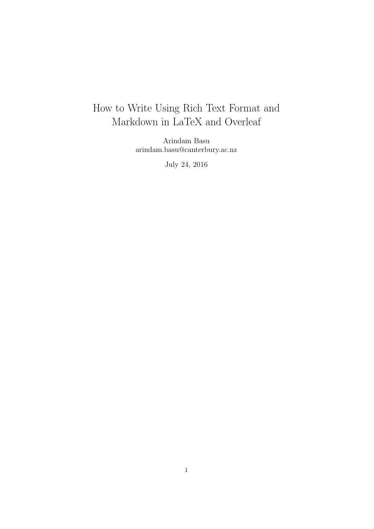# How to Write Using Rich Text Format and Markdown in LaTeX and Overleaf

Arindam Basu arindam.basu@canterbury.ac.nz

July 24, 2016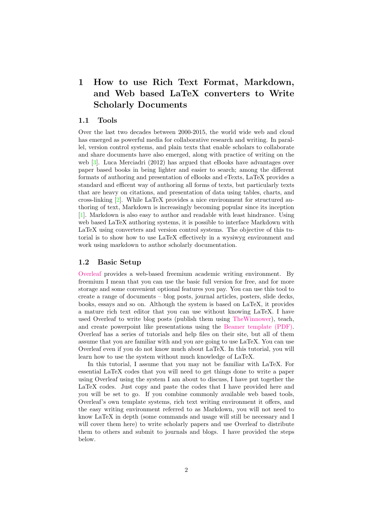## 1 How to use Rich Text Format, Markdown, and Web based LaTeX converters to Write Scholarly Documents

### 1.1 Tools

Over the last two decades between 2000-2015, the world wide web and cloud has emerged as powerful media for collaborative research and writing. In parallel, version control systems, and plain texts that enable scholars to collaborate and share documents have also emerged, along with practice of writing on the web [\[3\]](#page-15-0). Luca Merciadri (2012) has argued that eBooks have advantages over paper based books in being lighter and easier to search; among the different formats of authoring and presentation of eBooks and eTexts, LaTeX provides a standard and efficent way of authoring all forms of texts, but particularly texts that are heavy on citations, and presentation of data using tables, charts, and cross-linking [\[2\]](#page-15-1). While LaTeX provides a nice environment for structured authoring of text, Markdown is increasingly becoming popular since its inception [\[1\]](#page-15-2). Markdown is also easy to author and readable with least hindrance. Using web based LaTeX authoring systems, it is possible to interface Markdown with LaTeX using converters and version control systems. The objective of this tutorial is to show how to use LaTeX effectively in a wysiwyg environment and work using markdown to author scholarly documentation.

#### 1.2 Basic Setup

[Overleaf](http://www.overleaf.com) provides a web-based freemium academic writing environment. By freemium I mean that you can use the basic full version for free, and for more storage and some convenient optional features you pay. You can use this tool to create a range of documents – blog posts, journal articles, posters, slide decks, books, essays and so on. Although the system is based on LaTeX, it provides a mature rich text editor that you can use without knowing LaTeX. I have used Overleaf to write blog posts (publish them using [TheWinnower\)](http://www.thewinnower.com), teach, and create powerpoint like presentations using the [Beamer template \(PDF\).](http://www.math.binghamton.edu/erik/beameruserguide.pdf) Overleaf has a series of tutorials and help files on their site, but all of them assume that you are familiar with and you are going to use LaTeX. You can use Overleaf even if you do not know much about LaTeX. In this tutorial, you will learn how to use the system without much knowledge of LaTeX.

In this tutorial, I assume that you may not be familiar with LaTeX. For essential LaTeX codes that you will need to get things done to write a paper using Overleaf using the system I am about to discuss, I have put together the LaTeX codes. Just copy and paste the codes that I have provided here and you will be set to go. If you combine commonly available web based tools, Overleaf's own template systems, rich text writing environment it offers, and the easy writing environment referred to as Markdown, you will not need to know LaTeX in depth (some commands and usage will still be necessary and I will cover them here) to write scholarly papers and use Overleaf to distribute them to others and submit to journals and blogs. I have provided the steps below.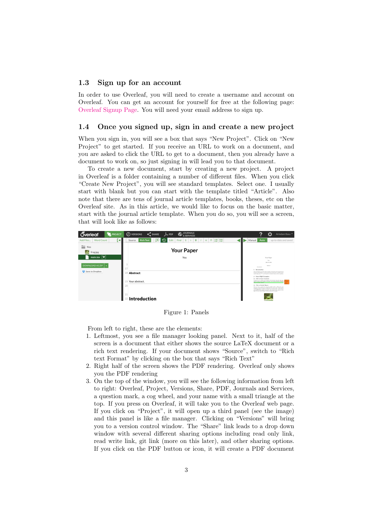#### 1.3 Sign up for an account

In order to use Overleaf, you will need to create a username and account on Overleaf. You can get an account for yourself for free at the following page: [Overleaf Signup Page.](https://www.overleaf.com/signup) You will need your email address to sign up.

### 1.4 Once you signed up, sign in and create a new project

When you sign in, you will see a box that says "New Project". Click on "New Project" to get started. If you receive an URL to work on a document, and you are asked to click the URL to get to a document, then you already have a document to work on, so just signing in will lead you to that document.

To create a new document, start by creating a new project. A project in Overleaf is a folder containing a number of different files. When you click "Create New Project", you will see standard templates. Select one. I usually start with blank but you can start with the template titled "Article". Also note that there are tens of journal article templates, books, theses, etc on the Overleaf site. As in this article, we would like to focus on the basic matter, start with the journal article template. When you do so, you will see a screen, that will look like as follows:



Figure 1: Panels

From left to right, these are the elements:

- 1. Leftmost, you see a file manager looking panel. Next to it, half of the screen is a document that either shows the source LaTeX document or a rich text rendering. If your document shows "Source", switch to "Rich text Format" by clicking on the box that says "Rich Text"
- 2. Right half of the screen shows the PDF rendering. Overleaf only shows you the PDF rendering
- 3. On the top of the window, you will see the following information from left to right: Overleaf, Project, Versions, Share, PDF, Journals and Services, a question mark, a cog wheel, and your name with a small triangle at the top. If you press on Overleaf, it will take you to the Overleaf web page. If you click on "Project", it will open up a third panel (see the image) and this panel is like a file manager. Clicking on "Versions" will bring you to a version control window. The "Share" link leads to a drop down window with several different sharing options including read only link, read write link, git link (more on this later), and other sharing options. If you click on the PDF button or icon, it will create a PDF document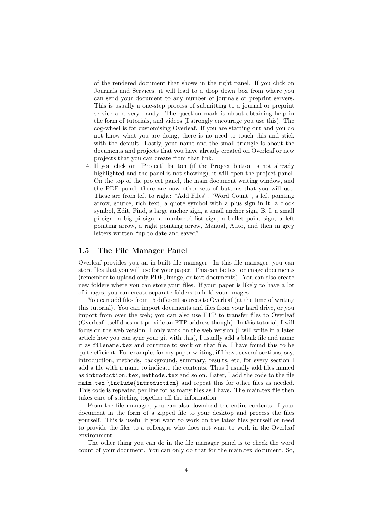of the rendered document that shows in the right panel. If you click on Journals and Services, it will lead to a drop down box from where you can send your document to any number of journals or preprint servers. This is usually a one-step process of submitting to a journal or preprint service and very handy. The question mark is about obtaining help in the form of tutorials, and videos (I strongly encourage you use this). The cog-wheel is for customising Overleaf. If you are starting out and you do not know what you are doing, there is no need to touch this and stick with the default. Lastly, your name and the small triangle is about the documents and projects that you have already created on Overleaf or new projects that you can create from that link.

4. If you click on "Project" button (if the Project button is not already highlighted and the panel is not showing), it will open the project panel. On the top of the project panel, the main document writing window, and the PDF panel, there are now other sets of buttons that you will use. These are from left to right: "Add Files", "Word Count", a left pointing arrow, source, rich text, a quote symbol with a plus sign in it, a clock symbol, Edit, Find, a large anchor sign, a small anchor sign, B, I, a small pi sign, a big pi sign, a numbered list sign, a bullet point sign, a left pointing arrow, a right pointing arrow, Manual, Auto, and then in grey letters written "up to date and saved".

### 1.5 The File Manager Panel

Overleaf provides you an in-built file manager. In this file manager, you can store files that you will use for your paper. This can be text or image documents (remember to upload only PDF, image, or text documents). You can also create new folders where you can store your files. If your paper is likely to have a lot of images, you can create separate folders to hold your images.

You can add files from 15 different sources to Overleaf (at the time of writing this tutorial). You can import documents and files from your hard drive, or you import from over the web; you can also use FTP to transfer files to Overleaf (Overleaf itself does not provide an FTP address though). In this tutorial, I will focus on the web version. I only work on the web version (I will write in a later article how you can sync your git with this), I usually add a blank file and name it as filename.tex and continue to work on that file. I have found this to be quite efficient. For example, for my paper writing, if I have several sections, say, introduction, methods, background, summary, results, etc, for every section I add a file with a name to indicate the contents. Thus I usually add files named as introduction.tex, methods.tex and so on. Later, I add the code to the file main.tex \include{introduction} and repeat this for other files as needed. This code is repeated per line for as many files as I have. The main.tex file then takes care of stitching together all the information.

From the file manager, you can also download the entire contents of your document in the form of a zipped file to your desktop and process the files yourself. This is useful if you want to work on the latex files yourself or need to provide the files to a colleague who does not want to work in the Overleaf environment.

The other thing you can do in the file manager panel is to check the word count of your document. You can only do that for the main.tex document. So,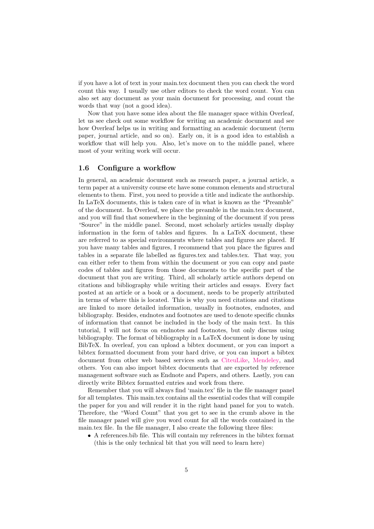if you have a lot of text in your main.tex document then you can check the word count this way. I usually use other editors to check the word count. You can also set any document as your main document for processing, and count the words that way (not a good idea).

Now that you have some idea about the file manager space within Overleaf, let us see check out some workflow for writing an academic document and see how Overleaf helps us in writing and formatting an academic document (term paper, journal article, and so on). Early on, it is a good idea to establish a workflow that will help you. Also, let's move on to the middle panel, where most of your writing work will occur.

### 1.6 Configure a workflow

In general, an academic document such as research paper, a journal article, a term paper at a university course etc have some common elements and structural elements to them. First, you need to provide a title and indicate the authorship. In LaTeX documents, this is taken care of in what is known as the "Preamble" of the document. In Overleaf, we place the preamble in the main.tex document, and you will find that somewhere in the beginning of the document if you press "Source" in the middle panel. Second, most scholarly articles usually display information in the form of tables and figures. In a LaTeX document, these are referred to as special environments where tables and figures are placed. If you have many tables and figures, I recommend that you place the figures and tables in a separate file labelled as figures.tex and tables.tex. That way, you can either refer to them from within the document or you can copy and paste codes of tables and figures from those documents to the specific part of the document that you are writing. Third, all scholarly article authors depend on citations and bibliography while writing their articles and essays. Every fact posted at an article or a book or a document, needs to be properly attributed in terms of where this is located. This is why you need citations and citations are linked to more detailed information, usually in footnotes, endnotes, and bibliography. Besides, endnotes and footnotes are used to denote specific chunks of information that cannot be included in the body of the main text. In this tutorial, I will not focus on endnotes and footnotes, but only discuss using bibliography. The format of bibliography in a LaTeX document is done by using BibTeX. In overleaf, you can upload a bibtex document, or you can import a bibtex formatted document from your hard drive, or you can import a bibtex document from other web based services such as [CiteuLike,](http://www.citeulike.org) [Mendeley,](http://www.mendeley.com) and others. You can also import bibtex documents that are exported by reference management software such as Endnote and Papers, and others. Lastly, you can directly write Bibtex formatted entries and work from there.

Remember that you will always find 'main.tex' file in the file manager panel for all templates. This main.tex contains all the essential codes that will compile the paper for you and will render it in the right hand panel for you to watch. Therefore, the "Word Count" that you get to see in the crumb above in the file manager panel will give you word count for all the words contained in the main.tex file. In the file manager, I also create the following three files:

• A references.bib file. This will contain my references in the bibtex format (this is the only technical bit that you will need to learn here)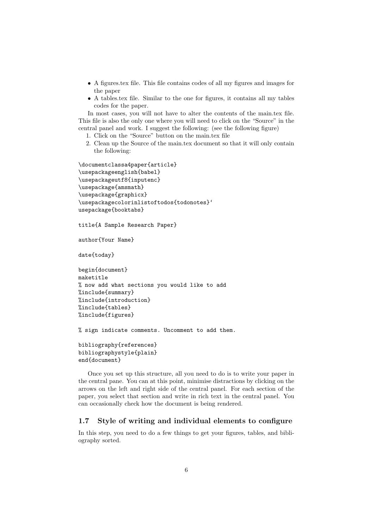- A figures.tex file. This file contains codes of all my figures and images for the paper
- A tables.tex file. Similar to the one for figures, it contains all my tables codes for the paper.

In most cases, you will not have to alter the contents of the main.tex file. This file is also the only one where you will need to click on the "Source" in the central panel and work. I suggest the following: (see the following figure)

- 1. Click on the "Source" button on the main.tex file
- 2. Clean up the Source of the main.tex document so that it will only contain the following:

```
\documentclassa4paper{article}
\usepackageenglish{babel}
\usepackageutf8{inputenc}
\usepackage{amsmath}
\usepackage{graphicx}
\usepackagecolorinlistoftodos{todonotes}'
usepackage{booktabs}
```

```
title{A Sample Research Paper}
```

```
author{Your Name}
```
date{today}

```
begin{document}
maketitle
% now add what sections you would like to add
%include{summary}
%include{introduction}
%include{tables}
%include{figures}
```
% sign indicate comments. Uncomment to add them.

```
bibliography{references}
bibliographystyle{plain}
end{document}
```
Once you set up this structure, all you need to do is to write your paper in the central pane. You can at this point, minimise distractions by clicking on the arrows on the left and right side of the central panel. For each section of the paper, you select that section and write in rich text in the central panel. You can occasionally check how the document is being rendered.

### 1.7 Style of writing and individual elements to configure

In this step, you need to do a few things to get your figures, tables, and bibliography sorted.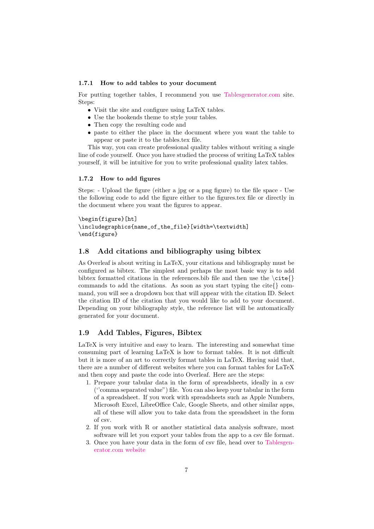#### 1.7.1 How to add tables to your document

For putting together tables, I recommend you use [Tablesgenerator.com](http://www.tablesgenerator.com) site. Steps:

- Visit the site and configure using LaTeX tables.
- Use the bookends theme to style your tables.
- Then copy the resulting code and
- paste to either the place in the document where you want the table to appear or paste it to the tables.tex file.

This way, you can create professional quality tables without writing a single line of code yourself. Once you have studied the process of writing LaTeX tables yourself, it will be intuitive for you to write professional quality latex tables.

#### 1.7.2 How to add figures

Steps: - Upload the figure (either a jpg or a png figure) to the file space - Use the following code to add the figure either to the figures.tex file or directly in the document where you want the figures to appear.

```
\begin{figure}[ht]
\includegraphics{name_of_the_file}[width=\textwidth]
\end{figure}
```
### 1.8 Add citations and bibliography using bibtex

As Overleaf is about writing in LaTeX, your citations and bibliography must be configured as bibtex. The simplest and perhaps the most basic way is to add bibtex formatted citations in the references.bib file and then use the  $\ct{}$ commands to add the citations. As soon as you start typing the cite{} command, you will see a dropdown box that will appear with the citation ID. Select the citation ID of the citation that you would like to add to your document. Depending on your bibliography style, the reference list will be automatically generated for your document.

### 1.9 Add Tables, Figures, Bibtex

LaTeX is very intuitive and easy to learn. The interesting and somewhat time consuming part of learning LaTeX is how to format tables. It is not difficult but it is more of an art to correctly format tables in LaTeX. Having said that, there are a number of different websites where you can format tables for LaTeX and then copy and paste the code into Overleaf. Here are the steps:

- 1. Prepare your tabular data in the form of spreadsheets, ideally in a csv (''comma separated value") file. You can also keep your tabular in the form of a spreadsheet. If you work with spreadsheets such as Apple Numbers, Microsoft Excel, LibreOffice Calc, Google Sheets, and other similar apps, all of these will allow you to take data from the spreadsheet in the form of csv.
- 2. If you work with R or another statistical data analysis software, most software will let you export your tables from the app to a csv file format.
- 3. Once you have your data in the form of csv file, head over to [Tablesgen](http://www.tablesgenerator.com)[erator.com website](http://www.tablesgenerator.com)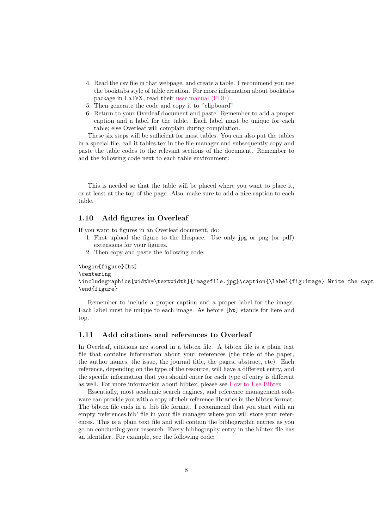- 4. Read the csv file in that webpage, and create a table. I recommend you use the booktabs style of table creation. For more information about booktabs package in LaTeX, read their [user manual \(PDF\)](http://mirror.aut.ac.nz/CTAN/macros/latex/contrib/booktabs/booktabs.pdf)
- 5. Then generate the code and copy it to ''clipboard"
- 6. Return to your Overleaf document and paste. Remember to add a proper caption and a label for the table. Each label must be unique for each table; else Overleaf will complain during compilation.

These six steps will be sufficient for most tables. You can also put the tables in a special file, call it tables.tex in the file manager and subsequently copy and paste the table codes to the relevant sections of the document. Remember to add the following code next to each table environment:

This is needed so that the table will be placed where you want to place it, or at least at the top of the page. Also, make sure to add a nice caption to each table.

### 1.10 Add figures in Overleaf

If you want to figures in an Overleaf document, do:

- 1. First upload the figure to the filespace. Use only jpg or png (or pdf) extensions for your figures.
- 2. Then copy and paste the following code:

```
\begin{figure}[ht]
\centering
\includegraphics[width=\textwidth]{imagefile.jpg}\caption{\label{fig:image} Write the capt
\end{figure}
```
Remember to include a proper caption and a proper label for the image. Each label must be unique to each image. As before [ht] stands for here and top.

#### 1.11 Add citations and references to Overleaf

In Overleaf, citations are stored in a bibtex file. A bibtex file is a plain text file that contains information about your references (the title of the paper, the author names, the issue, the journal title, the pages, abstract, etc). Each reference, depending on the type of the resource, will have a different entry, and the specific information that you should enter for each type of entry is different as well. For more information about bibtex, please see [How to Use Bibtex](http://www.bibtex.org/Using/)

Essentially, most academic search engines, and reference management software can provide you with a copy of their reference libraries in the bibtex format. The bibtex file ends in a .bib file format. I recommend that you start with an empty 'references.bib' file in your file manager where you will store your references. This is a plain text file and will contain the bibliographic entries as you go on conducting your research. Every bibliography entry in the bibtex file has an identifier. For example, see the following code: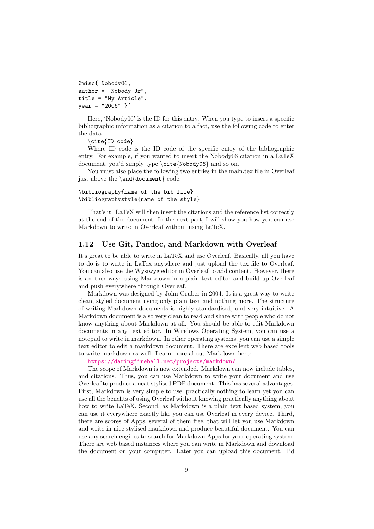```
@misc{ Nobody06,
author = "Nobody Jr",
title = "My Article",
year = "2006" }'
```
Here, 'Nobody06' is the ID for this entry. When you type to insert a specific bibliographic information as a citation to a fact, use the following code to enter the data

\cite{ID code}

Where ID code is the ID code of the specific entry of the bibliographic entry. For example, if you wanted to insert the Nobody06 citation in a LaTeX document, you'd simply type \cite{Nobody06} and so on.

You must also place the following two entries in the main.tex file in Overleaf just above the \end{document} code:

#### \bibliography{name of the bib file} \bibliographystyle{name of the style}

That's it. LaTeX will then insert the citations and the reference list correctly at the end of the document. In the next part, I will show you how you can use Markdown to write in Overleaf without using LaTeX.

#### 1.12 Use Git, Pandoc, and Markdown with Overleaf

It's great to be able to write in LaTeX and use Overleaf. Basically, all you have to do is to write in LaTex anywhere and just upload the tex file to Overleaf. You can also use the Wysiwyg editor in Overleaf to add content. However, there is another way: using Markdown in a plain text editor and build up Overleaf and push everywhere through Overleaf.

Markdown was designed by John Gruber in 2004. It is a great way to write clean, styled document using only plain text and nothing more. The structure of writing Markdown documents is highly standardised, and very intuitive. A Markdown document is also very clean to read and share with people who do not know anything about Markdown at all. You should be able to edit Markdown documents in any text editor. In Windows Operating System, you can use a notepad to write in markdown. In other operating systems, you can use a simple text editor to edit a markdown document. There are excellent web based tools to write markdown as well. Learn more about Markdown here:

<https://daringfireball.net/projects/markdown/>

The scope of Markdown is now extended. Markdown can now include tables, and citations. Thus, you can use Markdown to write your document and use Overleaf to produce a neat stylised PDF document. This has several advantages. First, Markdown is very simple to use; practically nothing to learn yet you can use all the benefits of using Overleaf without knowing practically anything about how to write LaTeX. Second, as Markdown is a plain text based system, you can use it everywhere exactly like you can use Overleaf in every device. Third, there are scores of Apps, several of them free, that will let you use Markdown and write in nice stylised markdown and produce beautiful document. You can use any search engines to search for Markdown Apps for your operating system. There are web based instances where you can write in Markdown and download the document on your computer. Later you can upload this document. I'd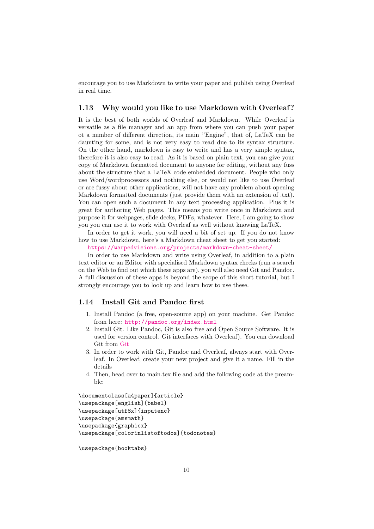encourage you to use Markdown to write your paper and publish using Overleaf in real time.

### 1.13 Why would you like to use Markdown with Overleaf?

It is the best of both worlds of Overleaf and Markdown. While Overleaf is versatile as a file manager and an app from where you can push your paper ot a number of different direction, its main ''Engine", that of, LaTeX can be daunting for some, and is not very easy to read due to its syntax structure. On the other hand, markdown is easy to write and has a very simple syntax, therefore it is also easy to read. As it is based on plain text, you can give your copy of Markdown formatted document to anyone for editing, without any fuss about the structure that a LaTeX code embedded document. People who only use Word/wordprocessors and nothing else, or would not like to use Overleaf or are fussy about other applications, will not have any problem about opening Markdown formatted documents (just provide them with an extension of .txt). You can open such a document in any text processing application. Plus it is great for authoring Web pages. This means you write once in Markdown and purpose it for webpages, slide decks, PDFs, whatever. Here, I am going to show you you can use it to work with Overleaf as well without knowing LaTeX.

In order to get it work, you will need a bit of set up. If you do not know how to use Markdown, here's a Markdown cheat sheet to get you started:

<https://warpedvisions.org/projects/markdown-cheat-sheet/>

In order to use Markdown and write using Overleaf, in addition to a plain text editor or an Editor with specialised Markdown syntax checks (run a search on the Web to find out which these apps are), you will also need Git and Pandoc. A full discussion of these apps is beyond the scope of this short tutorial, but I strongly encourage you to look up and learn how to use these.

### 1.14 Install Git and Pandoc first

- 1. Install Pandoc (a free, open-source app) on your machine. Get Pandoc from here: <http://pandoc.org/index.html>
- 2. Install Git. Like Pandoc, Git is also free and Open Source Software. It is used for version control. Git interfaces with Overleaf). You can download Git from [Git](http://git-scm.com)
- 3. In order to work with Git, Pandoc and Overleaf, always start with Overleaf. In Overleaf, create your new project and give it a name. Fill in the details
- 4. Then, head over to main.tex file and add the following code at the preamble:

```
\documentclass[a4paper]{article}
\usepackage[english]{babel}
\usepackage[utf8x]{inputenc}
\usepackage{amsmath}
\usepackage{graphicx}
\usepackage[colorinlistoftodos]{todonotes}
```
\usepackage{booktabs}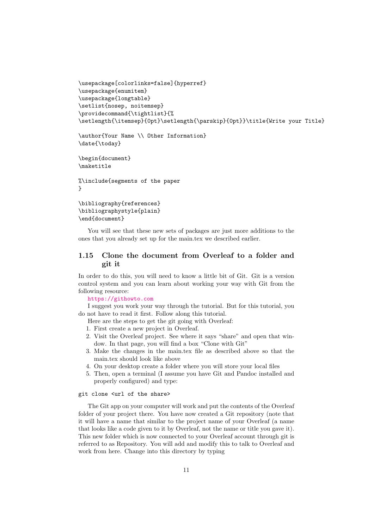```
\usepackage[colorlinks=false]{hyperref}
\usepackage{enumitem}
\usepackage{longtable}
\setlist{nosep, noitemsep}
\providecommand{\tightlist}{%
\setlength{\itemsep}{0pt}\setlength{\parskip}{0pt}}\title{Write your Title}
```
\author{Your Name \\ Other Information} \date{\today}

```
\begin{document}
\maketitle
```
%\include{segments of the paper }

```
\bibliography{references}
\bibliographystyle{plain}
\end{document}
```
You will see that these new sets of packages are just more additions to the ones that you already set up for the main.tex we described earlier.

### 1.15 Clone the document from Overleaf to a folder and git it

In order to do this, you will need to know a little bit of Git. Git is a version control system and you can learn about working your way with Git from the following resource:

<https://githowto.com>

I suggest you work your way through the tutorial. But for this tutorial, you do not have to read it first. Follow along this tutorial.

- Here are the steps to get the git going with Overleaf:
- 1. First create a new project in Overleaf.
- 2. Visit the Overleaf project. See where it says "share" and open that window. In that page, you will find a box "Clone with Git"
- 3. Make the changes in the main.tex file as described above so that the main.tex should look like above
- 4. On your desktop create a folder where you will store your local files
- 5. Then, open a terminal (I assume you have Git and Pandoc installed and properly configured) and type:

#### git clone <url of the share>

The Git app on your computer will work and put the contents of the Overleaf folder of your project there. You have now created a Git repository (note that it will have a name that similar to the project name of your Overleaf (a name that looks like a code given to it by Overleaf, not the name or title you gave it). This new folder which is now connected to your Overleaf account through git is referred to as Repository. You will add and modify this to talk to Overleaf and work from here. Change into this directory by typing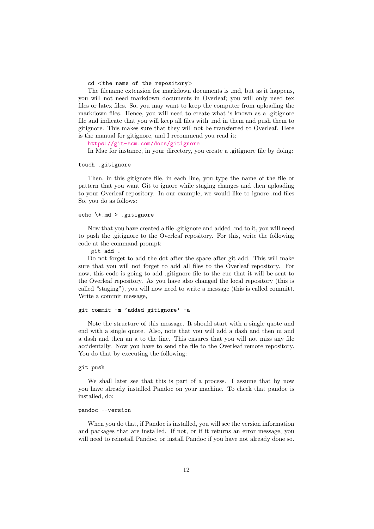#### cd <the name of the repository>

The filename extension for markdown documents is .md, but as it happens, you will not need markdown documents in Overleaf; you will only need tex files or latex files. So, you may want to keep the computer from uploading the markdown files. Hence, you will need to create what is known as a .gitignore file and indicate that you will keep all files with .md in them and push them to gitignore. This makes sure that they will not be transferred to Overleaf. Here is the manual for gitignore, and I recommend you read it:

<https://git-scm.com/docs/gitignore>

In Mac for instance, in your directory, you create a .gitignore file by doing:

#### touch .gitignore

Then, in this gitignore file, in each line, you type the name of the file or pattern that you want Git to ignore while staging changes and then uploading to your Overleaf repository. In our example, we would like to ignore .md files So, you do as follows:

#### echo \\*.md > .gitignore

Now that you have created a file .gitignore and added .md to it, you will need to push the .gitignore to the Overleaf repository. For this, write the following code at the command prompt:

git add .

Do not forget to add the dot after the space after git add. This will make sure that you will not forget to add all files to the Overleaf repository. For now, this code is going to add .gitignore file to the cue that it will be sent to the Overleaf repository. As you have also changed the local repository (this is called "staging"), you will now need to write a message (this is called commit). Write a commit message,

#### git commit -m 'added gitignore' -a

Note the structure of this message. It should start with a single quote and end with a single quote. Also, note that you will add a dash and then m and a dash and then an a to the line. This ensures that you will not miss any file accidentally. Now you have to send the file to the Overleaf remote repository. You do that by executing the following:

#### git push

We shall later see that this is part of a process. I assume that by now you have already installed Pandoc on your machine. To check that pandoc is installed, do:

#### pandoc --version

When you do that, if Pandoc is installed, you will see the version information and packages that are installed. If not, or if it returns an error message, you will need to reinstall Pandoc, or install Pandoc if you have not already done so.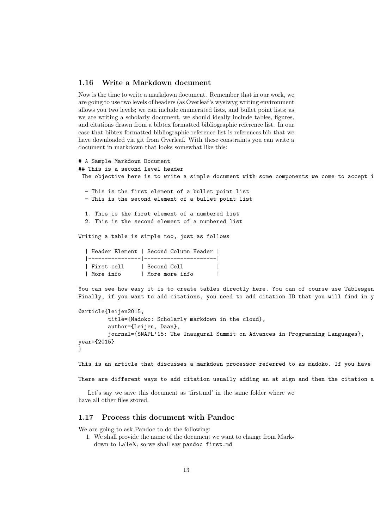#### 1.16 Write a Markdown document

Now is the time to write a markdown document. Remember that in our work, we are going to use two levels of headers (as Overleaf's wysiwyg writing environment allows you two levels; we can include enumerated lists, and bullet point lists; as we are writing a scholarly document, we should ideally include tables, figures, and citations drawn from a bibtex formatted bibliographic reference list. In our case that bibtex formatted bibliographic reference list is references.bib that we have downloaded via git from Overleaf. With these constraints you can write a document in markdown that looks somewhat like this:

```
# A Sample Markdown Document
## This is a second level header
 The objective here is to write a simple document with some components we come to accept i
  - This is the first element of a bullet point list
  - This is the second element of a bullet point list
  1. This is the first element of a numbered list
  2. This is the second element of a numbered list
Writing a table is simple too, just as follows
```

| Header Element   Second Column Header |                |  |  |
|---------------------------------------|----------------|--|--|
|                                       |                |  |  |
| First cell   Second Cell              |                |  |  |
| More info                             | More more info |  |  |

You can see how easy it is to create tables directly here. You can of course use Tablesgen Finally, if you want to add citations, you need to add citation ID that you will find in y

```
@article{leijen2015,
         title={Madoko: Scholarly markdown in the cloud},
         author={Leijen, Daan},
         journal={SNAPL'15: The Inaugural Summit on Advances in Programming Languages},
year={2015}
}
```
This is an article that discusses a markdown processor referred to as madoko. If you have

There are different ways to add citation usually adding an at sign and then the citation a

Let's say we save this document as 'first.md' in the same folder where we have all other files stored.

### 1.17 Process this document with Pandoc

We are going to ask Pandoc to do the following:

1. We shall provide the name of the document we want to change from Mark-

down to LaTeX, so we shall say pandoc first.md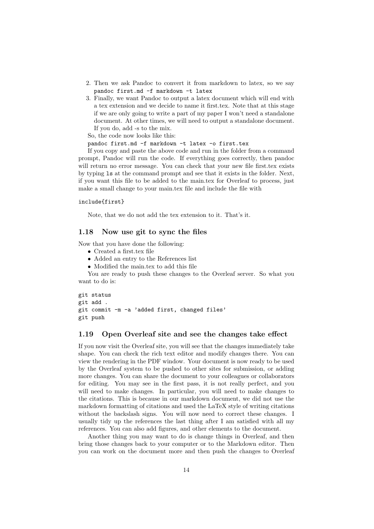- 2. Then we ask Pandoc to convert it from markdown to latex, so we say pandoc first.md -f markdown -t latex
- 3. Finally, we want Pandoc to output a latex document which will end with a tex extension and we decide to name it first.tex. Note that at this stage if we are only going to write a part of my paper I won't need a standalone document. At other times, we will need to output a standalone document. If you do, add -s to the mix.

So, the code now looks like this:

pandoc first.md -f markdown -t latex -o first.tex

If you copy and paste the above code and run in the folder from a command prompt, Pandoc will run the code. If everything goes correctly, then pandoc will return no error message. You can check that your new file first.tex exists by typing ls at the command prompt and see that it exists in the folder. Next, if you want this file to be added to the main.tex for Overleaf to process, just make a small change to your main.tex file and include the file with

#### include{first}

Note, that we do not add the tex extension to it. That's it.

#### 1.18 Now use git to sync the files

Now that you have done the following:

- Created a first.tex file
- Added an entry to the References list
- Modified the main.tex to add this file

You are ready to push these changes to the Overleaf server. So what you want to do is:

```
git status
git add .
git commit -m -a 'added first, changed files'
git push
```
#### 1.19 Open Overleaf site and see the changes take effect

If you now visit the Overleaf site, you will see that the changes immediately take shape. You can check the rich text editor and modify changes there. You can view the rendering in the PDF window. Your document is now ready to be used by the Overleaf system to be pushed to other sites for submission, or adding more changes. You can share the document to your colleagues or collaborators for editing. You may see in the first pass, it is not really perfect, and you will need to make changes. In particular, you will need to make changes to the citations. This is because in our markdown document, we did not use the markdown formatting of citations and used the LaTeX style of writing citations without the backslash signs. You will now need to correct these changes. I usually tidy up the references the last thing after I am satisfied with all my references. You can also add figures, and other elements to the document.

Another thing you may want to do is change things in Overleaf, and then bring those changes back to your computer or to the Markdown editor. Then you can work on the document more and then push the changes to Overleaf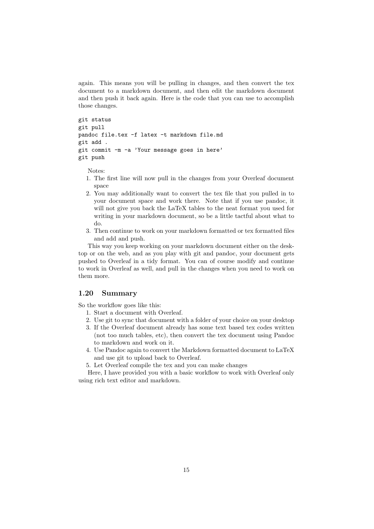again. This means you will be pulling in changes, and then convert the tex document to a markdown document, and then edit the markdown document and then push it back again. Here is the code that you can use to accomplish those changes.

```
git status
git pull
pandoc file.tex -f latex -t markdown file.md
git add .
git commit -m -a 'Your message goes in here'
git push
```
Notes:

- 1. The first line will now pull in the changes from your Overleaf document space
- 2. You may additionally want to convert the tex file that you pulled in to your document space and work there. Note that if you use pandoc, it will not give you back the LaTeX tables to the neat format you used for writing in your markdown document, so be a little tactful about what to do.
- 3. Then continue to work on your markdown formatted or tex formatted files and add and push.

This way you keep working on your markdown document either on the desktop or on the web, and as you play with git and pandoc, your document gets pushed to Overleaf in a tidy format. You can of course modify and continue to work in Overleaf as well, and pull in the changes when you need to work on them more.

### 1.20 Summary

So the workflow goes like this:

- 1. Start a document with Overleaf.
- 2. Use git to sync that document with a folder of your choice on your desktop
- 3. If the Overleaf document already has some text based tex codes written (not too much tables, etc), then convert the tex document using Pandoc to markdown and work on it.
- 4. Use Pandoc again to convert the Markdown formatted document to LaTeX and use git to upload back to Overleaf.
- 5. Let Overleaf compile the tex and you can make changes

Here, I have provided you with a basic workflow to work with Overleaf only using rich text editor and markdown.